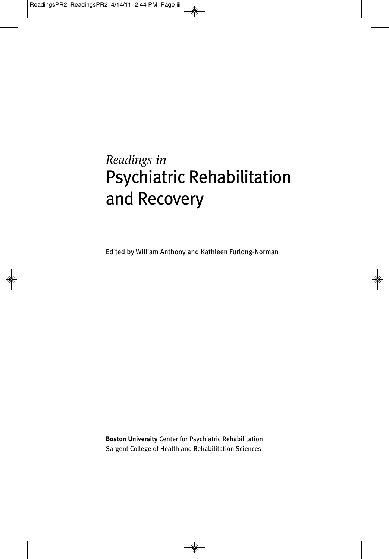# *Readings in* Psychiatric Rehabilitation and Recovery

◈

Edited by William Anthony and Kathleen Furlong-Norman

**Boston University** Center for Psychiatric Rehabilitation Sargent College of Health and Rehabilitation Sciences

◈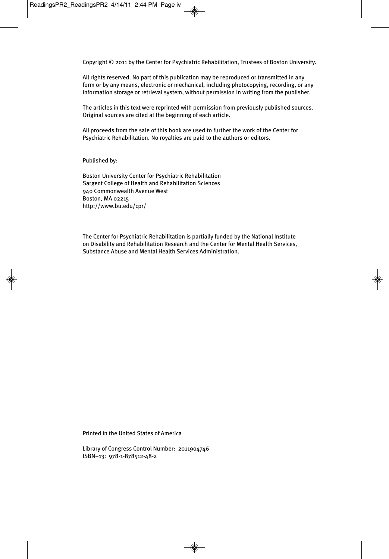Copyright © 2011 by the Center for Psychiatric Rehabilitation, Trustees of Boston University.

All rights reserved. No part of this publication may be reproduced or transmitted in any form or by any means, electronic or mechanical, including photocopying, recording, or any information storage or retrieval system, without permission in writing from the publisher.

The articles in this text were reprinted with permission from previously published sources. Original sources are cited at the beginning of each article.

All proceeds from the sale of this book are used to further the work of the Center for Psychiatric Rehabilitation. No royalties are paid to the authors or editors.

Published by:

Boston University Center for Psychiatric Rehabilitation Sargent College of Health and Rehabilitation Sciences 940 Commonwealth Avenue West Boston, MA 02215 http://www.bu.edu/cpr/

The Center for Psychiatric Rehabilitation is partially funded by the National Institute on Disability and Rehabilitation Research and the Center for Mental Health Services, Substance Abuse and Mental Health Services Administration.

◈

Printed in the United States of America

Library of Congress Control Number: 2011904746 ISBN–13: 978-1-878512-48-2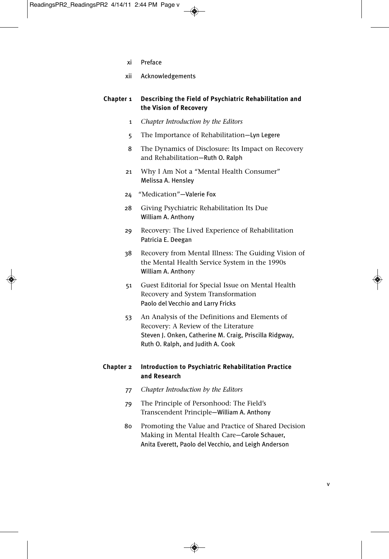- xi Preface
- xii Acknowledgements

### **Chapter 1 Describing the Field of Psychiatric Rehabilitation and the Vision of Recovery**

- 1 *Chapter Introduction by the Editors*
- 5 The Importance of Rehabilitation—Lyn Legere
- 8 The Dynamics of Disclosure: Its Impact on Recovery and Rehabilitation—Ruth O. Ralph
- 21 Why I Am Not a "Mental Health Consumer" Melissa A. Hensley
- 24 "Medication"—Valerie Fox
- 28 Giving Psychiatric Rehabilitation Its Due William A. Anthony
- 29 Recovery: The Lived Experience of Rehabilitation Patricia E. Deegan
- 38 Recovery from Mental Illness: The Guiding Vision of the Mental Health Service System in the 1990s William A. Anthony
- 51 Guest Editorial for Special Issue on Mental Health Recovery and System Transformation Paolo del Vecchio and Larry Fricks
- 53 An Analysis of the Definitions and Elements of Recovery: A Review of the Literature Steven J. Onken, Catherine M. Craig, Priscilla Ridgway, Ruth O. Ralph, and Judith A. Cook

# **Chapter 2 Introduction to Psychiatric Rehabilitation Practice and Research**

- 77 *Chapter Introduction by the Editors*
- 79 The Principle of Personhood: The Field's Transcendent Principle—William A. Anthony

◈

80 Promoting the Value and Practice of Shared Decision Making in Mental Health Care—Carole Schauer, Anita Everett, Paolo del Vecchio, and Leigh Anderson

v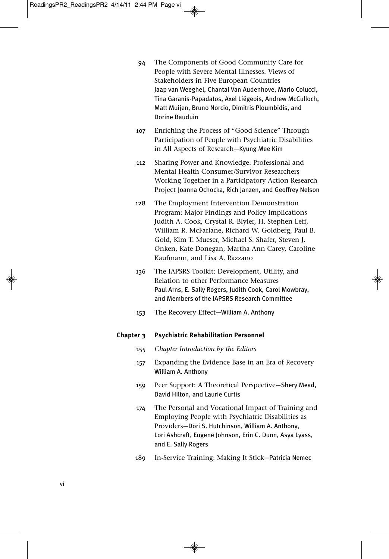- 94 The Components of Good Community Care for People with Severe Mental Illnesses: Views of Stakeholders in Five European Countries Jaap van Weeghel, Chantal Van Audenhove, Mario Colucci, Tina Garanis-Papadatos, Axel Liégeois, Andrew McCulloch, Matt Muijen, Bruno Norcio, Dimitris Ploumbidis, and Dorine Bauduin
- 107 Enriching the Process of "Good Science" Through Participation of People with Psychiatric Disabilities in All Aspects of Research—Kyung Mee Kim
- 112 Sharing Power and Knowledge: Professional and Mental Health Consumer/Survivor Researchers Working Together in a Participatory Action Research Project Joanna Ochocka, Rich Janzen, and Geoffrey Nelson
- 128 The Employment Intervention Demonstration Program: Major Findings and Policy Implications Judith A. Cook, Crystal R. Blyler, H. Stephen Leff, William R. McFarlane, Richard W. Goldberg, Paul B. Gold, Kim T. Mueser, Michael S. Shafer, Steven J. Onken, Kate Donegan, Martha Ann Carey, Caroline Kaufmann, and Lisa A. Razzano
- 136 The IAPSRS Toolkit: Development, Utility, and Relation to other Performance Measures Paul Arns, E. Sally Rogers, Judith Cook, Carol Mowbray, and Members of the IAPSRS Research Committee
- 153 The Recovery Effect—William A. Anthony

#### **Chapter 3 Psychiatric Rehabilitation Personnel**

- 155 *Chapter Introduction by the Editors*
- 157 Expanding the Evidence Base in an Era of Recovery William A. Anthony
- 159 Peer Support: A Theoretical Perspective—Shery Mead, David Hilton, and Laurie Curtis
- 174 The Personal and Vocational Impact of Training and Employing People with Psychiatric Disabilities as Providers—Dori S. Hutchinson, William A. Anthony, Lori Ashcraft, Eugene Johnson, Erin C. Dunn, Asya Lyass, and E. Sally Rogers
- 189 In-Service Training: Making It Stick—Patricia Nemec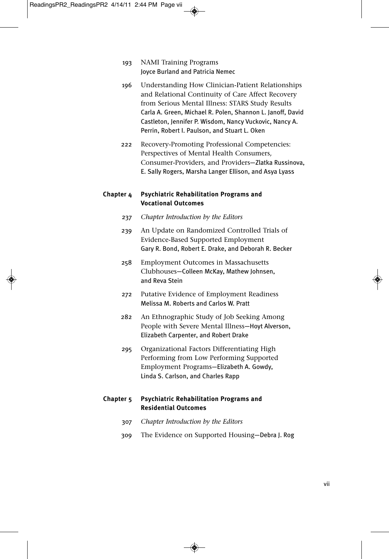- 193 NAMI Training Programs Joyce Burland and Patricia Nemec
- 196 Understanding How Clinician-Patient Relationships and Relational Continuity of Care Affect Recovery from Serious Mental Illness: STARS Study Results Carla A. Green, Michael R. Polen, Shannon L. Janoff, David Castleton, Jennifer P. Wisdom, Nancy Vuckovic, Nancy A. Perrin, Robert I. Paulson, and Stuart L. Oken
- 222 Recovery-Promoting Professional Competencies: Perspectives of Mental Health Consumers, Consumer-Providers, and Providers—Zlatka Russinova, E. Sally Rogers, Marsha Langer Ellison, and Asya Lyass

#### **Chapter 4 Psychiatric Rehabilitation Programs and Vocational Outcomes**

- 237 *Chapter Introduction by the Editors*
- 239 An Update on Randomized Controlled Trials of Evidence-Based Supported Employment Gary R. Bond, Robert E. Drake, and Deborah R. Becker
- 258 Employment Outcomes in Massachusetts Clubhouses—Colleen McKay, Mathew Johnsen, and Reva Stein
- 272 Putative Evidence of Employment Readiness Melissa M. Roberts and Carlos W. Pratt
- 282 An Ethnographic Study of Job Seeking Among People with Severe Mental Illness—Hoyt Alverson, Elizabeth Carpenter, and Robert Drake
- 295 Organizational Factors Differentiating High Performing from Low Performing Supported Employment Programs—Elizabeth A. Gowdy, Linda S. Carlson, and Charles Rapp

# **Chapter 5 Psychiatric Rehabilitation Programs and Residential Outcomes**

- 307 *Chapter Introduction by the Editors*
- 309 The Evidence on Supported Housing—Debra J. Rog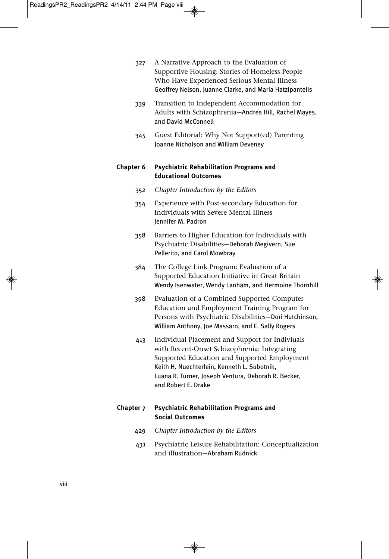- 327 A Narrative Approach to the Evaluation of Supportive Housing: Stories of Homeless People Who Have Experienced Serious Mental Illness Geoffrey Nelson, Juanne Clarke, and Maria Hatzipantelis
- 339 Transition to Independent Accommodation for Adults with Schizophrenia—Andrea Hill, Rachel Mayes, and David McConnell
- 345 Guest Editorial: Why Not Support(ed) Parenting Joanne Nicholson and William Deveney

# **Chapter 6 Psychiatric Rehabilitation Programs and Educational Outcomes**

- 352 *Chapter Introduction by the Editors*
- 354 Experience with Post-secondary Education for Individuals with Severe Mental Illness Jennifer M. Padron
- 358 Barriers to Higher Education for Individuals with Psychiatric Disabilities—Deborah Megivern, Sue Pellerito, and Carol Mowbray
- 384 The College Link Program: Evaluation of a Supported Education Initiative in Great Britain Wendy Isenwater, Wendy Lanham, and Hermoine Thornhill
- 398 Evaluation of a Combined Supported Computer Education and Employment Training Program for Persons with Psychiatric Disabilities—Dori Hutchinson, William Anthony, Joe Massaro, and E. Sally Rogers
- 413 Individual Placement and Support for Indiviuals with Recent-Onset Schizophrenia: Integrating Supported Education and Supported Employment Keith H. Nuechterlein, Kenneth L. Subotnik, Luana R. Turner, Joseph Ventura, Deborah R. Becker, and Robert E. Drake

# **Chapter 7 Psychiatric Rehabilitation Programs and Social Outcomes**

- 429 *Chapter Introduction by the Editors*
- 431 Psychiatric Leisure Rehabilitation: Conceptualization and illustration—Abraham Rudnick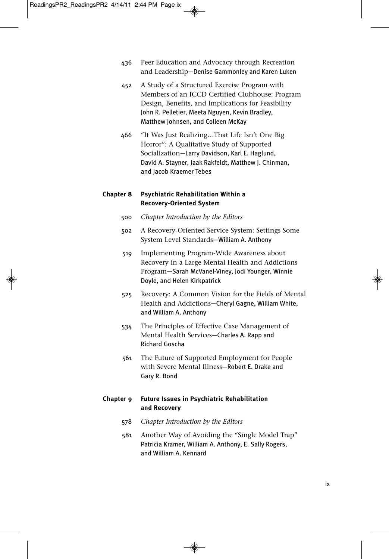- 436 Peer Education and Advocacy through Recreation and Leadership—Denise Gammonley and Karen Luken
- 452 A Study of a Structured Exercise Program with Members of an ICCD Certified Clubhouse: Program Design, Benefits, and Implications for Feasibility John R. Pelletier, Meeta Nguyen, Kevin Bradley, Matthew Johnsen, and Colleen McKay
- 466 "It Was Just Realizing…That Life Isn't One Big Horror": A Qualitative Study of Supported Socialization—Larry Davidson, Karl E. Haglund, David A. Stayner, Jaak Rakfeldt, Matthew J. Chinman, and Jacob Kraemer Tebes

#### **Chapter 8 Psychiatric Rehabilitation Within a Recovery-Oriented System**

- 500 *Chapter Introduction by the Editors*
- 502 A Recovery-Oriented Service System: Settings Some System Level Standards—William A. Anthony
- 519 Implementing Program-Wide Awareness about Recovery in a Large Mental Health and Addictions Program—Sarah McVanel-Viney, Jodi Younger, Winnie Doyle, and Helen Kirkpatrick
- 525 Recovery: A Common Vision for the Fields of Mental Health and Addictions—Cheryl Gagne, William White, and William A. Anthony
- 534 The Principles of Effective Case Management of Mental Health Services—Charles A. Rapp and Richard Goscha
- 561 The Future of Supported Employment for People with Severe Mental Illness—Robert E. Drake and Gary R. Bond

# **Chapter 9 Future Issues in Psychiatric Rehabilitation and Recovery**

- 578 *Chapter Introduction by the Editors*
- 581 Another Way of Avoiding the "Single Model Trap" Patricia Kramer, William A. Anthony, E. Sally Rogers, and William A. Kennard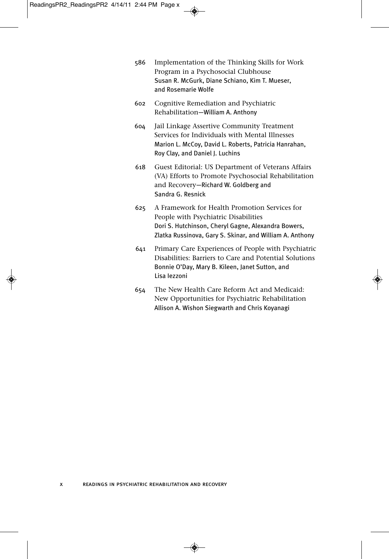- 586 Implementation of the Thinking Skills for Work Program in a Psychosocial Clubhouse Susan R. McGurk, Diane Schiano, Kim T. Mueser, and Rosemarie Wolfe
- 602 Cognitive Remediation and Psychiatric Rehabilitation—William A. Anthony
- 604 Jail Linkage Assertive Community Treatment Services for Individuals with Mental Illnesses Marion L. McCoy, David L. Roberts, Patricia Hanrahan, Roy Clay, and Daniel J. Luchins
- 618 Guest Editorial: US Department of Veterans Affairs (VA) Efforts to Promote Psychosocial Rehabilitation and Recovery—Richard W. Goldberg and Sandra G. Resnick
- 625 A Framework for Health Promotion Services for People with Psychiatric Disabilities Dori S. Hutchinson, Cheryl Gagne, Alexandra Bowers, Zlatka Russinova, Gary S. Skinar, and William A. Anthony
- 641 Primary Care Experiences of People with Psychiatric Disabilities: Barriers to Care and Potential Solutions Bonnie O'Day, Mary B. Kileen, Janet Sutton, and Lisa Iezzoni
- 654 The New Health Care Reform Act and Medicaid: New Opportunities for Psychiatric Rehabilitation Allison A. Wishon Siegwarth and Chris Koyanagi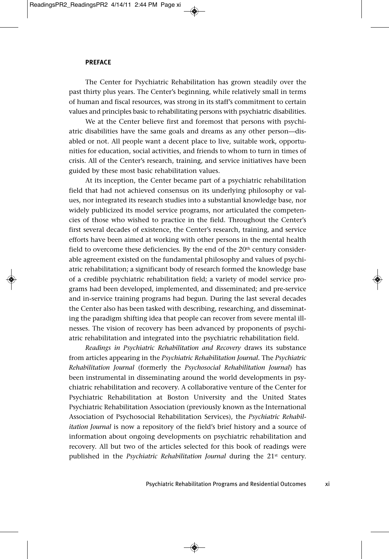#### **PREFACE**

The Center for Psychiatric Rehabilitation has grown steadily over the past thirty plus years. The Center's beginning, while relatively small in terms of human and fiscal resources, was strong in its staff's commitment to certain values and principles basic to rehabilitating persons with psychiatric disabilities.

We at the Center believe first and foremost that persons with psychiatric disabilities have the same goals and dreams as any other person—disabled or not. All people want a decent place to live, suitable work, opportunities for education, social activities, and friends to whom to turn in times of crisis. All of the Center's research, training, and service initiatives have been guided by these most basic rehabilitation values.

At its inception, the Center became part of a psychiatric rehabilitation field that had not achieved consensus on its underlying philosophy or values, nor integrated its research studies into a substantial knowledge base, nor widely publicized its model service programs, nor articulated the competencies of those who wished to practice in the field. Throughout the Center's first several decades of existence, the Center's research, training, and service efforts have been aimed at working with other persons in the mental health field to overcome these deficiencies. By the end of the 20<sup>th</sup> century considerable agreement existed on the fundamental philosophy and values of psychiatric rehabilitation; a significant body of research formed the knowledge base of a credible psychiatric rehabilitation field; a variety of model service programs had been developed, implemented, and disseminated; and pre-service and in-service training programs had begun. During the last several decades the Center also has been tasked with describing, researching, and disseminating the paradigm shifting idea that people can recover from severe mental illnesses. The vision of recovery has been advanced by proponents of psychiatric rehabilitation and integrated into the psychiatric rehabilitation field.

*Readings in Psychiatric Rehabilitation and Recovery* draws its substance from articles appearing in the *Psychiatric Rehabilitation Journal.* The *Psychiatric Rehabilitation Journal* (formerly the *Psychosocial Rehabilitation Journal*) has been instrumental in disseminating around the world developments in psychiatric rehabilitation and recovery. A collaborative venture of the Center for Psychiatric Rehabilitation at Boston University and the United States Psychiatric Rehabilitation Association (previously known as the International Association of Psychosocial Rehabilitation Services), the *Psychiatric Rehabilitation Journal* is now a repository of the field's brief history and a source of information about ongoing developments on psychiatric rehabilitation and recovery. All but two of the articles selected for this book of readings were published in the *Psychiatric Rehabilitation Journal* during the 21st century.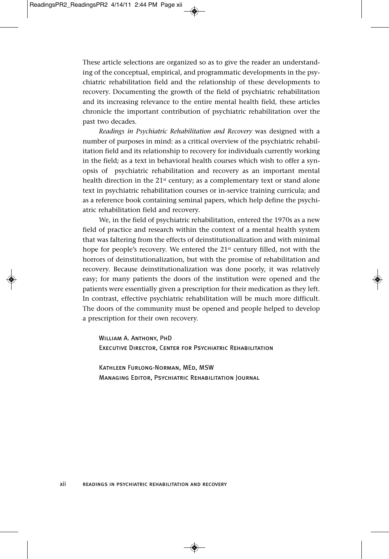These article selections are organized so as to give the reader an understanding of the conceptual, empirical, and programmatic developments in the psychiatric rehabilitation field and the relationship of these developments to recovery. Documenting the growth of the field of psychiatric rehabilitation and its increasing relevance to the entire mental health field, these articles chronicle the important contribution of psychiatric rehabilitation over the past two decades.

*Readings in Psychiatric Rehabilitation and Recovery* was designed with a number of purposes in mind: as a critical overview of the psychiatric rehabilitation field and its relationship to recovery for individuals currently working in the field; as a text in behavioral health courses which wish to offer a synopsis of psychiatric rehabilitation and recovery as an important mental health direction in the  $21<sup>st</sup>$  century; as a complementary text or stand alone text in psychiatric rehabilitation courses or in-service training curricula; and as a reference book containing seminal papers, which help define the psychiatric rehabilitation field and recovery.

We, in the field of psychiatric rehabilitation, entered the 1970s as a new field of practice and research within the context of a mental health system that was faltering from the effects of deinstitutionalization and with minimal hope for people's recovery. We entered the 21<sup>st</sup> century filled, not with the horrors of deinstitutionalization, but with the promise of rehabilitation and recovery. Because deinstitutionalization was done poorly, it was relatively easy; for many patients the doors of the institution were opened and the patients were essentially given a prescription for their medication as they left. In contrast, effective psychiatric rehabilitation will be much more difficult. The doors of the community must be opened and people helped to develop a prescription for their own recovery.

William A. Anthony, PhD Executive Director, Center for Psychiatric Rehabilitation

Kathleen Furlong-Norman, MEd, MSW Managing Editor, Psychiatric Rehabilitation Journal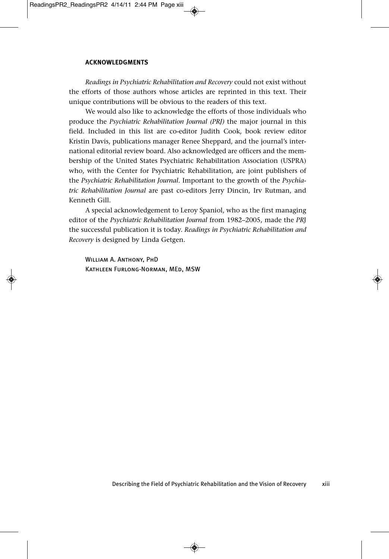#### **ACKNOWLEDGMENTS**

*Readings in Psychiatric Rehabilitation and Recovery* could not exist without the efforts of those authors whose articles are reprinted in this text. Their unique contributions will be obvious to the readers of this text.

We would also like to acknowledge the efforts of those individuals who produce the *Psychiatric Rehabilitation Journal (PRJ)* the major journal in this field. Included in this list are co-editor Judith Cook, book review editor Kristin Davis, publications manager Renee Sheppard, and the journal's international editorial review board. Also acknowledged are officers and the membership of the United States Psychiatric Rehabilitation Association (USPRA) who, with the Center for Psychiatric Rehabilitation, are joint publishers of the *Psychiatric Rehabilitation Journal.* Important to the growth of the *Psychiatric Rehabilitation Journal* are past co-editors Jerry Dincin, Irv Rutman, and Kenneth Gill.

A special acknowledgement to Leroy Spaniol, who as the first managing editor of the *Psychiatric Rehabilitation Journal* from 1982–2005, made the *PR*J the successful publication it is today. *Readings in Psychiatric Rehabilitation and Recovery* is designed by Linda Getgen.

William A. Anthony, PhD Kathleen Furlong-Norman, MEd, MSW

◈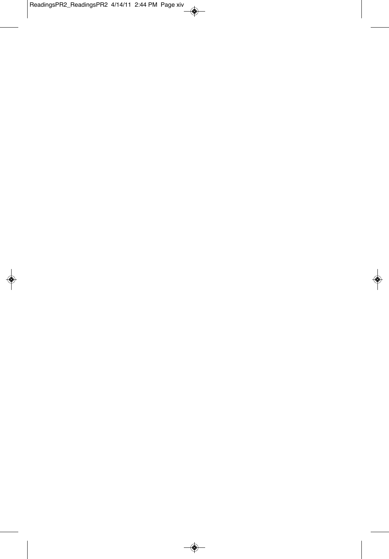ReadingsPR2\_ReadingsPR2 4/14/11 2:44 PM Page xiv  $\bullet$ 

 $\rightarrow$ 

◈

♦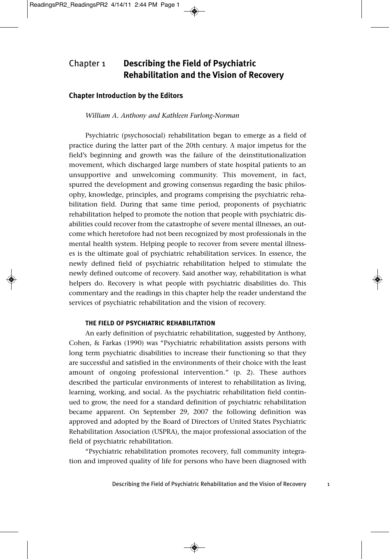# Chapter 1 **Describing the Field of Psychiatric Rehabilitation and the Vision of Recovery**

#### **Chapter Introduction by the Editors**

*William A. Anthony and Kathleen Furlong-Norman*

Psychiatric (psychosocial) rehabilitation began to emerge as a field of practice during the latter part of the 20th century. A major impetus for the field's beginning and growth was the failure of the deinstitutionalization movement, which discharged large numbers of state hospital patients to an unsupportive and unwelcoming community. This movement, in fact, spurred the development and growing consensus regarding the basic philosophy, knowledge, principles, and programs comprising the psychiatric rehabilitation field. During that same time period, proponents of psychiatric rehabilitation helped to promote the notion that people with psychiatric disabilities could recover from the catastrophe of severe mental illnesses, an outcome which heretofore had not been recognized by most professionals in the mental health system. Helping people to recover from severe mental illnesses is the ultimate goal of psychiatric rehabilitation services. In essence, the newly defined field of psychiatric rehabilitation helped to stimulate the newly defined outcome of recovery. Said another way, rehabilitation is what helpers do. Recovery is what people with psychiatric disabilities do. This commentary and the readings in this chapter help the reader understand the services of psychiatric rehabilitation and the vision of recovery.

#### **THE FIELD OF PSYCHIATRIC REHABILITATION**

An early definition of psychiatric rehabilitation, suggested by Anthony, Cohen, & Farkas (1990) was "Psychiatric rehabilitation assists persons with long term psychiatric disabilities to increase their functioning so that they are successful and satisfied in the environments of their choice with the least amount of ongoing professional intervention." (p. 2). These authors described the particular environments of interest to rehabilitation as living, learning, working, and social. As the psychiatric rehabilitation field continued to grow, the need for a standard definition of psychiatric rehabilitation became apparent. On September 29, 2007 the following definition was approved and adopted by the Board of Directors of United States Psychiatric Rehabilitation Association (USPRA), the major professional association of the field of psychiatric rehabilitation.

"Psychiatric rehabilitation promotes recovery, full community integration and improved quality of life for persons who have been diagnosed with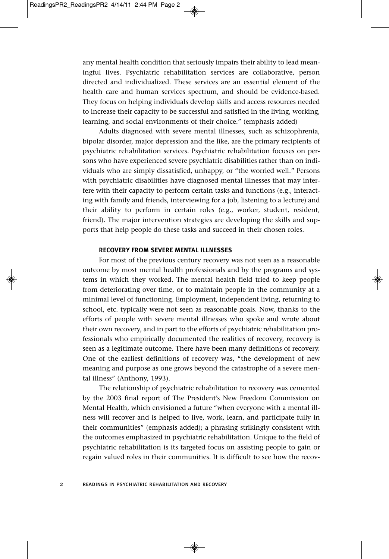any mental health condition that seriously impairs their ability to lead meaningful lives. Psychiatric rehabilitation services are collaborative, person directed and individualized. These services are an essential element of the health care and human services spectrum, and should be evidence-based. They focus on helping individuals develop skills and access resources needed to increase their capacity to be successful and satisfied in the living, working, learning, and social environments of their choice." (emphasis added)

Adults diagnosed with severe mental illnesses, such as schizophrenia, bipolar disorder, major depression and the like, are the primary recipients of psychiatric rehabilitation services. Psychiatric rehabilitation focuses on persons who have experienced severe psychiatric disabilities rather than on individuals who are simply dissatisfied, unhappy, or "the worried well." Persons with psychiatric disabilities have diagnosed mental illnesses that may interfere with their capacity to perform certain tasks and functions (e.g., interacting with family and friends, interviewing for a job, listening to a lecture) and their ability to perform in certain roles (e.g., worker, student, resident, friend). The major intervention strategies are developing the skills and supports that help people do these tasks and succeed in their chosen roles.

#### **RECOVERY FROM SEVERE MENTAL ILLNESSES**

For most of the previous century recovery was not seen as a reasonable outcome by most mental health professionals and by the programs and systems in which they worked. The mental health field tried to keep people from deteriorating over time, or to maintain people in the community at a minimal level of functioning. Employment, independent living, returning to school, etc. typically were not seen as reasonable goals. Now, thanks to the efforts of people with severe mental illnesses who spoke and wrote about their own recovery, and in part to the efforts of psychiatric rehabilitation professionals who empirically documented the realities of recovery, recovery is seen as a legitimate outcome. There have been many definitions of recovery. One of the earliest definitions of recovery was, "the development of new meaning and purpose as one grows beyond the catastrophe of a severe mental illness" (Anthony, 1993).

The relationship of psychiatric rehabilitation to recovery was cemented by the 2003 final report of The President's New Freedom Commission on Mental Health, which envisioned a future "when everyone with a mental illness will recover and is helped to live, work, learn, and participate fully in their communities" (emphasis added); a phrasing strikingly consistent with the outcomes emphasized in psychiatric rehabilitation. Unique to the field of psychiatric rehabilitation is its targeted focus on assisting people to gain or regain valued roles in their communities. It is difficult to see how the recov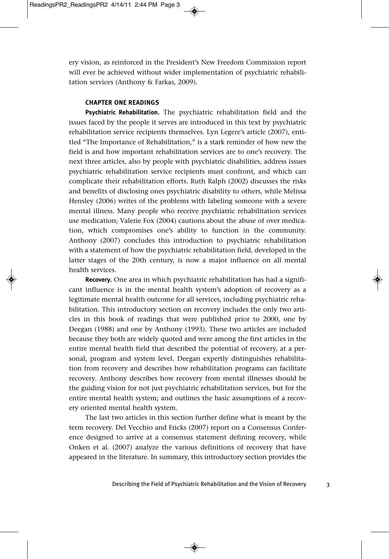ery vision, as reinforced in the President's New Freedom Commission report will ever be achieved without wider implementation of psychiatric rehabilitation services (Anthony & Farkas, 2009).

#### **CHAPTER ONE READINGS**

**Psychiatric Rehabilitation.** The psychiatric rehabilitation field and the issues faced by the people it serves are introduced in this text by psychiatric rehabilitation service recipients themselves. Lyn Legere's article (2007), entitled "The Importance of Rehabilitation," is a stark reminder of how new the field is and how important rehabilitation services are to one's recovery. The next three articles, also by people with psychiatric disabilities, address issues psychiatric rehabilitation service recipients must confront, and which can complicate their rehabilitation efforts. Ruth Ralph (2002) discusses the risks and benefits of disclosing ones psychiatric disability to others, while Melissa Hensley (2006) writes of the problems with labeling someone with a severe mental illness. Many people who receive psychiatric rehabilitation services use medication; Valerie Fox (2004) cautions about the abuse of over medication, which compromises one's ability to function in the community. Anthony (2007) concludes this introduction to psychiatric rehabilitation with a statement of how the psychiatric rehabilitation field, developed in the latter stages of the 20th century, is now a major influence on all mental health services.

**Recovery.** One area in which psychiatric rehabilitation has had a significant influence is in the mental health system's adoption of recovery as a legitimate mental health outcome for all services, including psychiatric rehabilitation. This introductory section on recovery includes the only two articles in this book of readings that were published prior to 2000, one by Deegan (1988) and one by Anthony (1993). These two articles are included because they both are widely quoted and were among the first articles in the entire mental health field that described the potential of recovery, at a personal, program and system level. Deegan expertly distinguishes rehabilitation from recovery and describes how rehabilitation programs can facilitate recovery. Anthony describes how recovery from mental illnesses should be the guiding vision for not just psychiatric rehabilitation services, but for the entire mental health system; and outlines the basic assumptions of a recovery oriented mental health system.

The last two articles in this section further define what is meant by the term recovery. Del Vecchio and Fricks (2007) report on a Consensus Conference designed to arrive at a consensus statement defining recovery, while Onken et al. (2007) analyze the various definitions of recovery that have appeared in the literature. In summary, this introductory section provides the